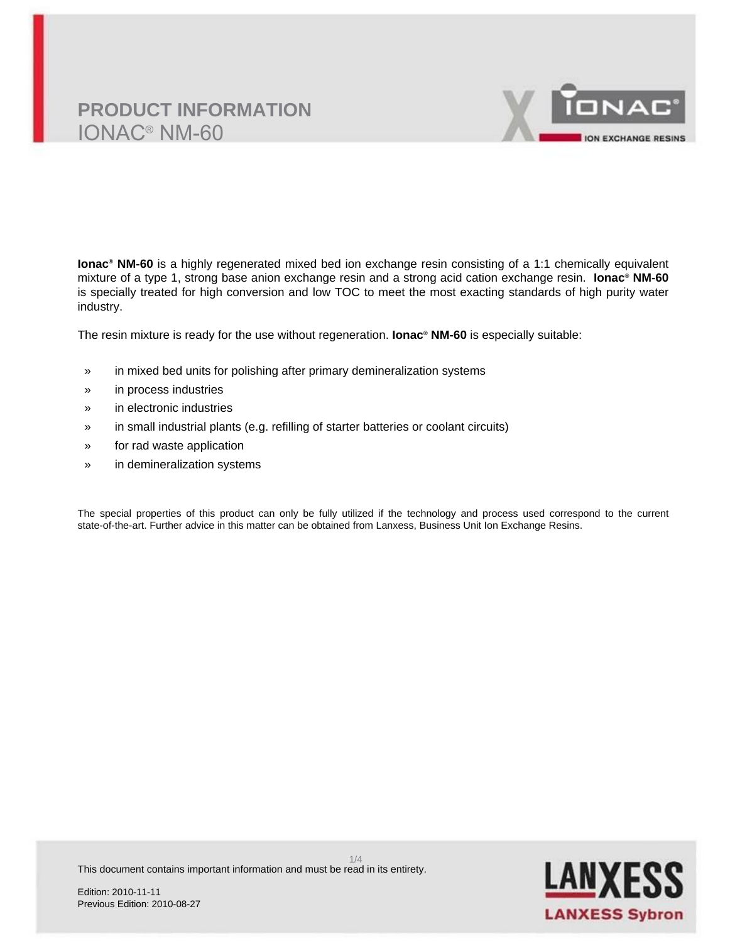# **PRODUCT INFORMATION** IONAC® NM-60



**Ionac® NM-60** is a highly regenerated mixed bed ion exchange resin consisting of a 1:1 chemically equivalent mixture of a type 1, strong base anion exchange resin and a strong acid cation exchange resin. **Ionac® NM-60** is specially treated for high conversion and low TOC to meet the most exacting standards of high purity water industry.

The resin mixture is ready for the use without regeneration. **Ionac® NM-60** is especially suitable:

- » in mixed bed units for polishing after primary demineralization systems
- » in process industries
- » in electronic industries
- » in small industrial plants (e.g. refilling of starter batteries or coolant circuits)
- » for rad waste application
- » in demineralization systems

The special properties of this product can only be fully utilized if the technology and process used correspond to the current state-of-the-art. Further advice in this matter can be obtained from Lanxess, Business Unit Ion Exchange Resins.

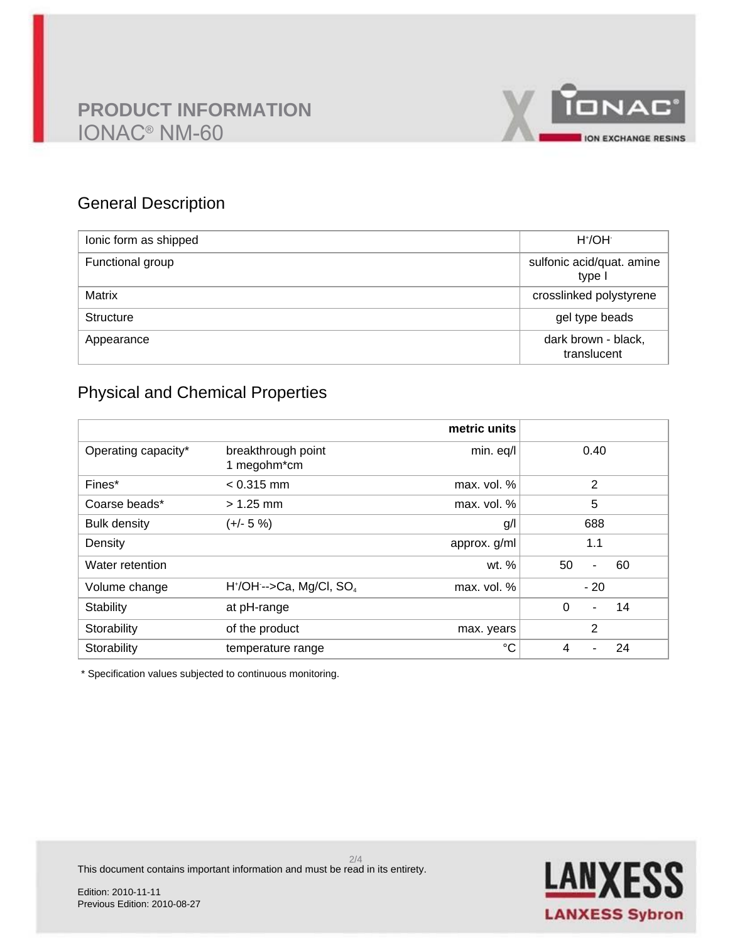# **PRODUCT INFORMATION** IONAC® NM-60



## General Description

| lonic form as shipped | $H^{\dagger}/OH$                    |
|-----------------------|-------------------------------------|
| Functional group      | sulfonic acid/quat. amine<br>type I |
| Matrix                | crosslinked polystyrene             |
| <b>Structure</b>      | gel type beads                      |
| Appearance            | dark brown - black,<br>translucent  |

## Physical and Chemical Properties

|                     |                                        | metric units |                     |
|---------------------|----------------------------------------|--------------|---------------------|
| Operating capacity* | breakthrough point<br>1 megohm*cm      | min. eq/l    | 0.40                |
| Fines*              | $< 0.315$ mm                           | max. vol. %  | 2                   |
| Coarse beads*       | $> 1.25$ mm                            | max. vol. %  | 5                   |
| <b>Bulk density</b> | $(+/- 5%)$                             | g/l          | 688                 |
| Density             |                                        | approx. g/ml | 1.1                 |
| Water retention     |                                        | wt. $%$      | 50<br>60<br>٠       |
| Volume change       | $H^*/OH$ -->Ca, Mg/Cl, SO <sub>4</sub> | max. vol. %  | $-20$               |
| Stability           | at pH-range                            |              | $\Omega$<br>14<br>- |
| Storability         | of the product                         | max. years   | 2                   |
| Storability         | temperature range                      | °C           | 24<br>4             |

\* Specification values subjected to continuous monitoring.



2/4 This document contains important information and must be read in its entirety.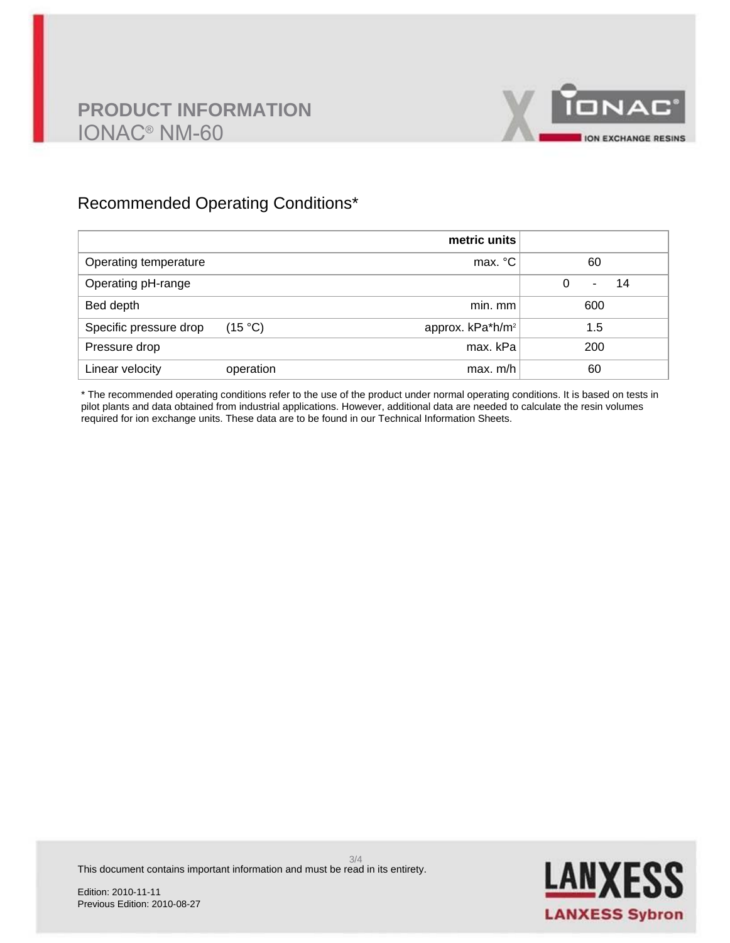

## Recommended Operating Conditions\*

|                        |           | metric units                 |              |
|------------------------|-----------|------------------------------|--------------|
| Operating temperature  |           | max. °C                      | 60           |
| Operating pH-range     |           |                              | 0<br>14<br>۰ |
| Bed depth              |           | min. mm                      | 600          |
| Specific pressure drop | (15 °C)   | approx. kPa*h/m <sup>2</sup> | 1.5          |
| Pressure drop          |           | max. kPa                     | 200          |
| Linear velocity        | operation | max. m/h                     | 60           |

\* The recommended operating conditions refer to the use of the product under normal operating conditions. It is based on tests in pilot plants and data obtained from industrial applications. However, additional data are needed to calculate the resin volumes required for ion exchange units. These data are to be found in our Technical Information Sheets.